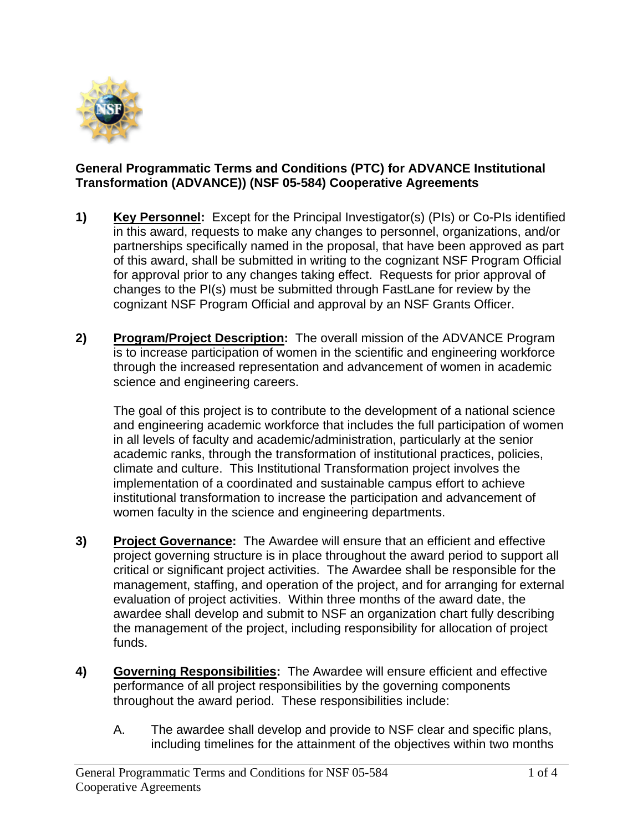

## **General Programmatic Terms and Conditions (PTC) for ADVANCE Institutional Transformation (ADVANCE)) (NSF 05-584) Cooperative Agreements**

- **1) Key Personnel:** Except for the Principal Investigator(s) (PIs) or Co-PIs identified in this award, requests to make any changes to personnel, organizations, and/or partnerships specifically named in the proposal, that have been approved as part of this award, shall be submitted in writing to the cognizant NSF Program Official for approval prior to any changes taking effect. Requests for prior approval of changes to the PI(s) must be submitted through FastLane for review by the cognizant NSF Program Official and approval by an NSF Grants Officer.
- **2) Program/Project Description:** The overall mission of the ADVANCE Program is to increase participation of women in the scientific and engineering workforce through the increased representation and advancement of women in academic science and engineering careers.

The goal of this project is to contribute to the development of a national science and engineering academic workforce that includes the full participation of women in all levels of faculty and academic/administration, particularly at the senior academic ranks, through the transformation of institutional practices, policies, climate and culture. This Institutional Transformation project involves the implementation of a coordinated and sustainable campus effort to achieve institutional transformation to increase the participation and advancement of women faculty in the science and engineering departments.

- **3) Project Governance:** The Awardee will ensure that an efficient and effective project governing structure is in place throughout the award period to support all critical or significant project activities. The Awardee shall be responsible for the management, staffing, and operation of the project, and for arranging for external evaluation of project activities. Within three months of the award date, the awardee shall develop and submit to NSF an organization chart fully describing the management of the project, including responsibility for allocation of project funds.
- **4) Governing Responsibilities:** The Awardee will ensure efficient and effective performance of all project responsibilities by the governing components throughout the award period. These responsibilities include:
	- A. The awardee shall develop and provide to NSF clear and specific plans, including timelines for the attainment of the objectives within two months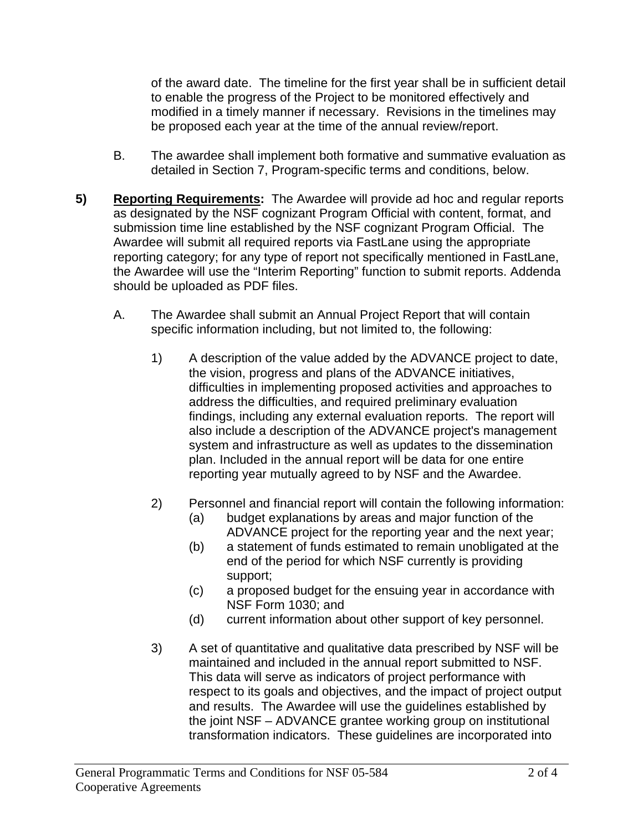of the award date. The timeline for the first year shall be in sufficient detail to enable the progress of the Project to be monitored effectively and modified in a timely manner if necessary. Revisions in the timelines may be proposed each year at the time of the annual review/report.

- B. The awardee shall implement both formative and summative evaluation as detailed in Section 7, Program-specific terms and conditions, below.
- **5) Reporting Requirements:** The Awardee will provide ad hoc and regular reports as designated by the NSF cognizant Program Official with content, format, and submission time line established by the NSF cognizant Program Official. The Awardee will submit all required reports via FastLane using the appropriate reporting category; for any type of report not specifically mentioned in FastLane, the Awardee will use the "Interim Reporting" function to submit reports. Addenda should be uploaded as PDF files.
	- A. The Awardee shall submit an Annual Project Report that will contain specific information including, but not limited to, the following:
		- 1) A description of the value added by the ADVANCE project to date, the vision, progress and plans of the ADVANCE initiatives, difficulties in implementing proposed activities and approaches to address the difficulties, and required preliminary evaluation findings, including any external evaluation reports. The report will also include a description of the ADVANCE project's management system and infrastructure as well as updates to the dissemination plan. Included in the annual report will be data for one entire reporting year mutually agreed to by NSF and the Awardee.
		- 2) Personnel and financial report will contain the following information:
			- (a) budget explanations by areas and major function of the ADVANCE project for the reporting year and the next year;
			- (b) a statement of funds estimated to remain unobligated at the end of the period for which NSF currently is providing support;
			- (c) a proposed budget for the ensuing year in accordance with NSF Form 1030; and
			- (d) current information about other support of key personnel.
		- 3) A set of quantitative and qualitative data prescribed by NSF will be maintained and included in the annual report submitted to NSF. This data will serve as indicators of project performance with respect to its goals and objectives, and the impact of project output and results. The Awardee will use the guidelines established by the joint NSF – ADVANCE grantee working group on institutional transformation indicators. These guidelines are incorporated into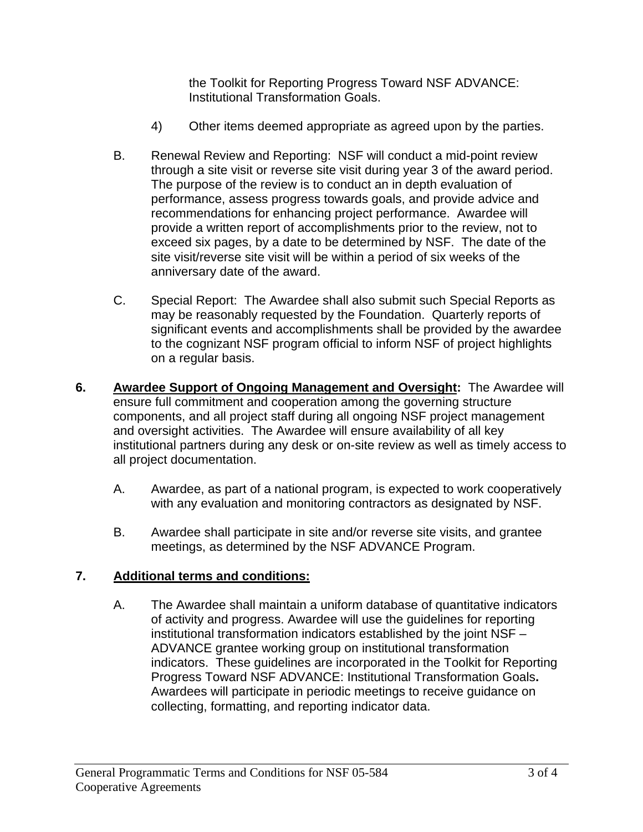the Toolkit for Reporting Progress Toward NSF ADVANCE: Institutional Transformation Goals.

- 4) Other items deemed appropriate as agreed upon by the parties.
- B. Renewal Review and Reporting: NSF will conduct a mid-point review through a site visit or reverse site visit during year 3 of the award period. The purpose of the review is to conduct an in depth evaluation of performance, assess progress towards goals, and provide advice and recommendations for enhancing project performance. Awardee will provide a written report of accomplishments prior to the review, not to exceed six pages, by a date to be determined by NSF. The date of the site visit/reverse site visit will be within a period of six weeks of the anniversary date of the award.
- C. Special Report: The Awardee shall also submit such Special Reports as may be reasonably requested by the Foundation. Quarterly reports of significant events and accomplishments shall be provided by the awardee to the cognizant NSF program official to inform NSF of project highlights on a regular basis.
- **6. Awardee Support of Ongoing Management and Oversight:** The Awardee will ensure full commitment and cooperation among the governing structure components, and all project staff during all ongoing NSF project management and oversight activities. The Awardee will ensure availability of all key institutional partners during any desk or on-site review as well as timely access to all project documentation.
	- A. Awardee, as part of a national program, is expected to work cooperatively with any evaluation and monitoring contractors as designated by NSF.
	- B. Awardee shall participate in site and/or reverse site visits, and grantee meetings, as determined by the NSF ADVANCE Program.

## **7. Additional terms and conditions:**

A. The Awardee shall maintain a uniform database of quantitative indicators of activity and progress. Awardee will use the guidelines for reporting institutional transformation indicators established by the joint NSF – ADVANCE grantee working group on institutional transformation indicators. These guidelines are incorporated in the Toolkit for Reporting Progress Toward NSF ADVANCE: Institutional Transformation Goals**.**  Awardees will participate in periodic meetings to receive guidance on collecting, formatting, and reporting indicator data.